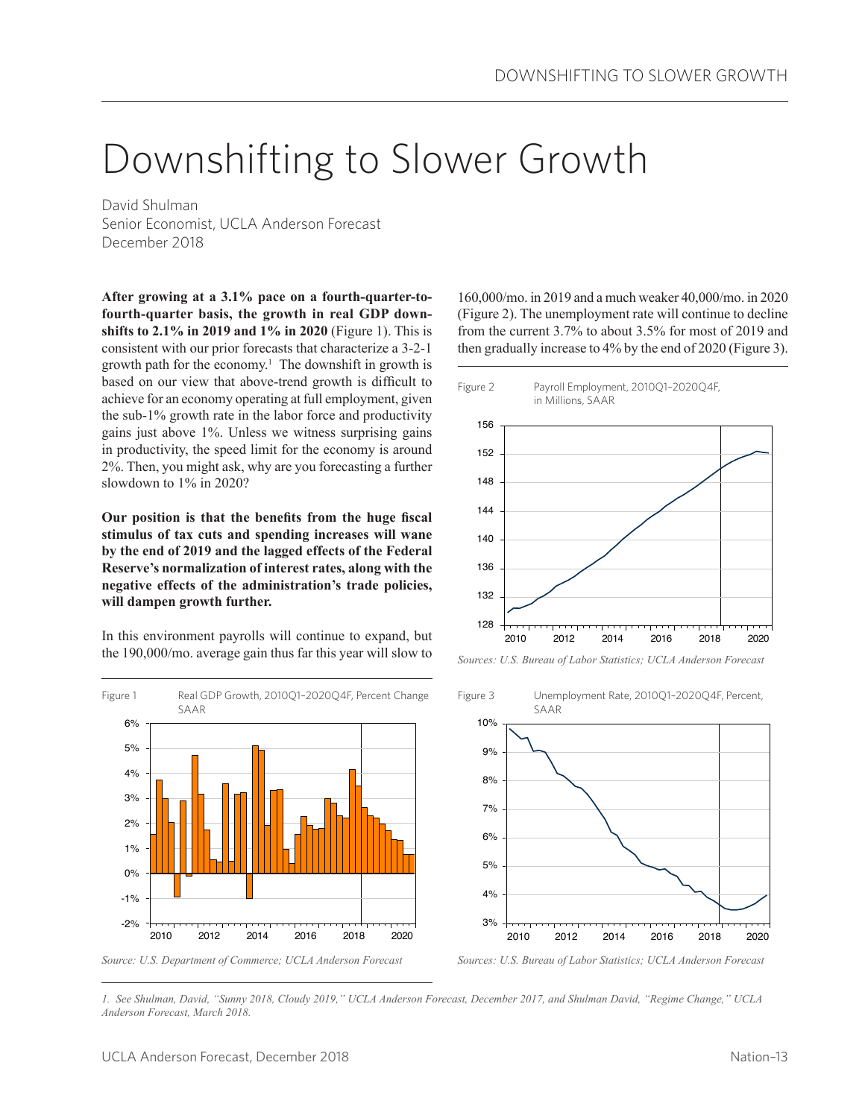# Downshifting to Slower Growth

David Shulman Senior Economist, UCLA Anderson Forecast December 2018

**After growing at a 3.1% pace on a fourth-quarter-tofourth-quarter basis, the growth in real GDP downshifts to 2.1% in 2019 and 1% in 2020** (Figure 1). This is consistent with our prior forecasts that characterize a 3-2-1 growth path for the economy.<sup>1</sup> The downshift in growth is based on our view that above-trend growth is difficult to achieve for an economy operating at full employment, given the sub-1% growth rate in the labor force and productivity gains just above 1%. Unless we witness surprising gains in productivity, the speed limit for the economy is around 2%. Then, you might ask, why are you forecasting a further slowdown to 1% in 2020?

**Our position is that the benefits from the huge fiscal stimulus of tax cuts and spending increases will wane by the end of 2019 and the lagged effects of the Federal Reserve's normalization of interest rates, along with the negative effects of the administration's trade policies, will dampen growth further.**

In this environment payrolls will continue to expand, but the 190,000/mo. average gain thus far this year will slow to

2010 2012 2014 2016 2018 2020 6% 5% 4% 3% 2% 1% 0%  $-1\%$ -2% Figure 1 Real GDP Growth, 2010Q1-2020Q4F, Percent Change SAAR

*Source: U.S. Department of Commerce; UCLA Anderson Forecast*

160,000/mo. in 2019 and a much weaker 40,000/mo. in 2020 (Figure 2). The unemployment rate will continue to decline from the current 3.7% to about 3.5% for most of 2019 and then gradually increase to 4% by the end of 2020 (Figure 3).



*Sources: U.S. Bureau of Labor Statistics; UCLA Anderson Forecast*



*Sources: U.S. Bureau of Labor Statistics; UCLA Anderson Forecast*

*1. See Shulman, David, "Sunny 2018, Cloudy 2019," UCLA Anderson Forecast, December 2017, and Shulman David, "Regime Change," UCLA Anderson Forecast, March 2018.*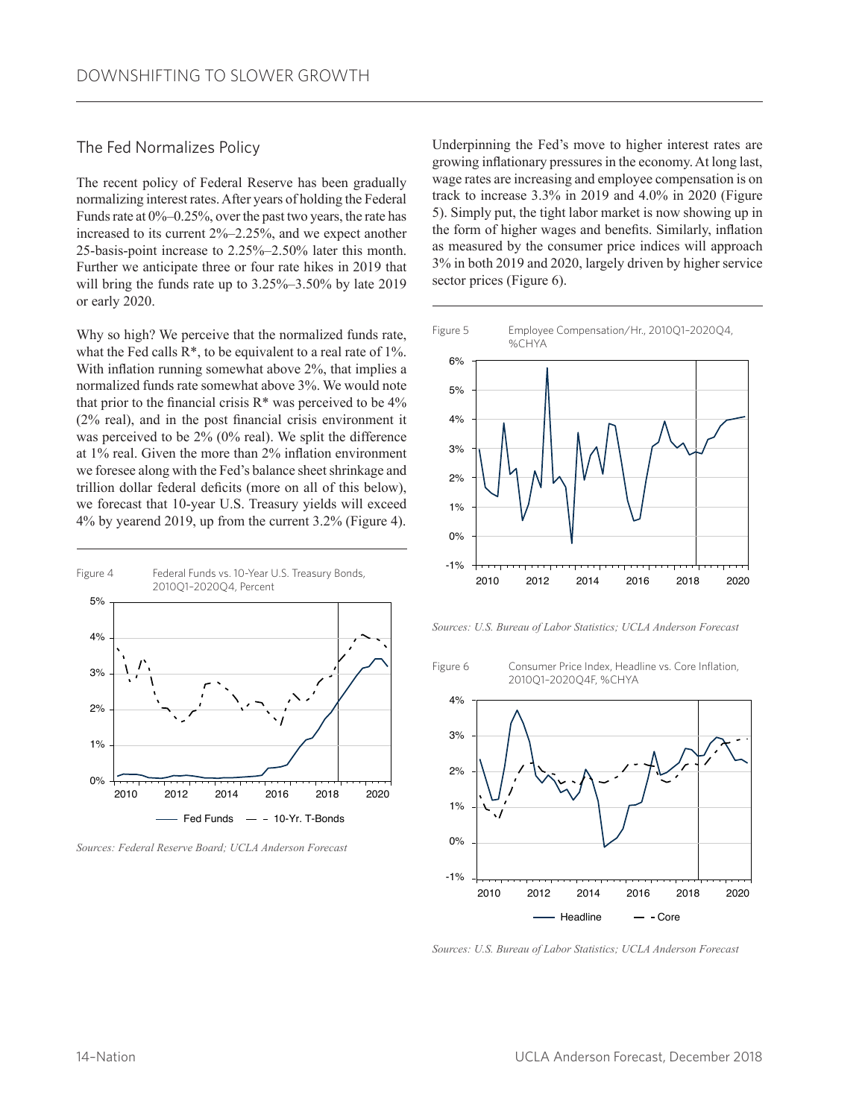### The Fed Normalizes Policy

The recent policy of Federal Reserve has been gradually normalizing interest rates. After years of holding the Federal Funds rate at 0%–0.25%, over the past two years, the rate has increased to its current 2%–2.25%, and we expect another 25-basis-point increase to 2.25%–2.50% later this month. Further we anticipate three or four rate hikes in 2019 that will bring the funds rate up to  $3.25\%$ – $3.50\%$  by late 2019 or early 2020.

Why so high? We perceive that the normalized funds rate, what the Fed calls  $R^*$ , to be equivalent to a real rate of  $1\%$ . With inflation running somewhat above 2%, that implies a normalized funds rate somewhat above 3%. We would note that prior to the financial crisis  $R^*$  was perceived to be  $4\%$ (2% real), and in the post financial crisis environment it was perceived to be 2% (0% real). We split the difference at 1% real. Given the more than 2% inflation environment we foresee along with the Fed's balance sheet shrinkage and trillion dollar federal deficits (more on all of this below), we forecast that 10-year U.S. Treasury yields will exceed 4% by yearend 2019, up from the current 3.2% (Figure 4).



*Sources: Federal Reserve Board; UCLA Anderson Forecast* 

Underpinning the Fed's move to higher interest rates are growing inflationary pressures in the economy. At long last, wage rates are increasing and employee compensation is on track to increase 3.3% in 2019 and 4.0% in 2020 (Figure 5). Simply put, the tight labor market is now showing up in the form of higher wages and benefits. Similarly, inflation as measured by the consumer price indices will approach 3% in both 2019 and 2020, largely driven by higher service sector prices (Figure 6).



*Sources: U.S. Bureau of Labor Statistics; UCLA Anderson Forecast*

Figure 6 Consumer Price Index, Headline vs. Core Inflation,

2010 2012 2014 2016 2018 2020 4% 3% 2% 1% 0%  $-1%$ Headline - Core 2010Q1–2020Q4F, %CHYA

*Sources: U.S. Bureau of Labor Statistics; UCLA Anderson Forecast*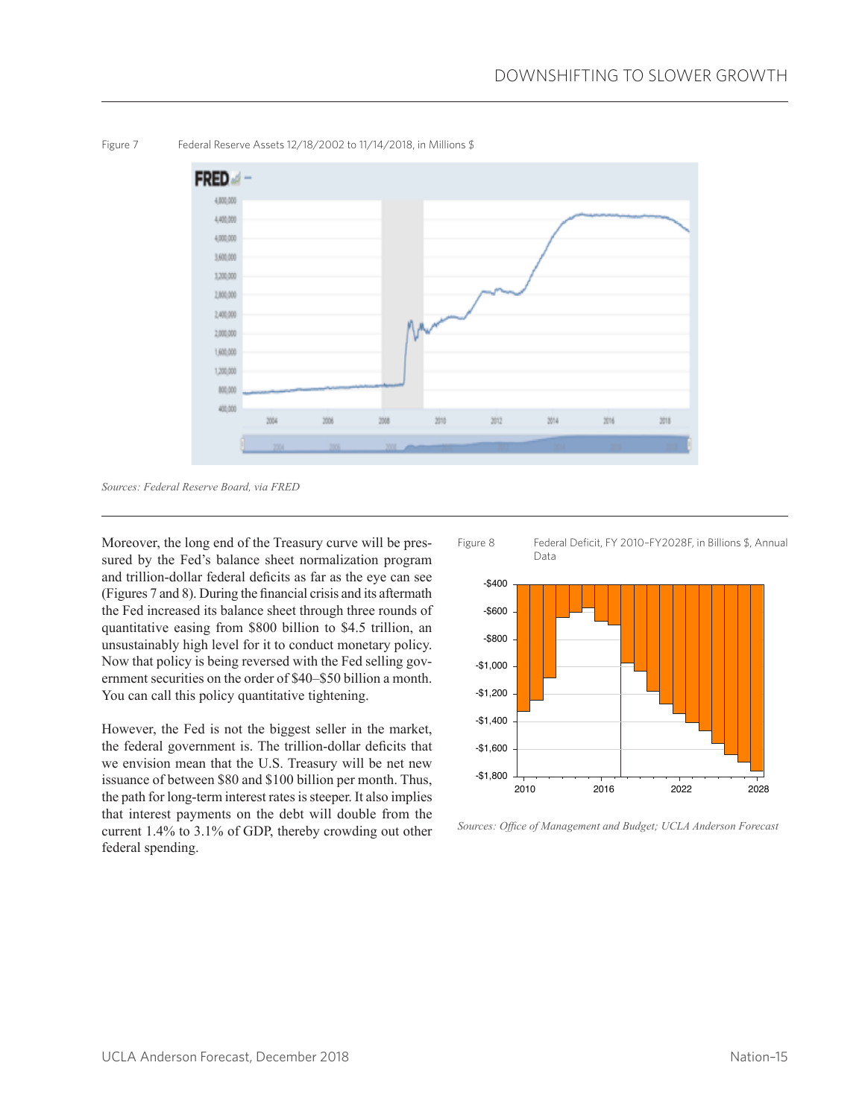

Figure 7 Federal Reserve Assets 12/18/2002 to 11/14/2018, in Millions \$

Moreover, the long end of the Treasury curve will be pressured by the Fed's balance sheet normalization program and trillion-dollar federal deficits as far as the eye can see (Figures 7 and 8). During the financial crisis and its aftermath the Fed increased its balance sheet through three rounds of quantitative easing from \$800 billion to \$4.5 trillion, an unsustainably high level for it to conduct monetary policy. Now that policy is being reversed with the Fed selling government securities on the order of \$40–\$50 billion a month. You can call this policy quantitative tightening.

However, the Fed is not the biggest seller in the market, the federal government is. The trillion-dollar deficits that we envision mean that the U.S. Treasury will be net new issuance of between \$80 and \$100 billion per month. Thus, the path for long-term interest rates is steeper. It also implies that interest payments on the debt will double from the current 1.4% to 3.1% of GDP, thereby crowding out other federal spending.



*Sources: Office of Management and Budget; UCLA Anderson Forecast*

*Sources: Federal Reserve Board, via FRED*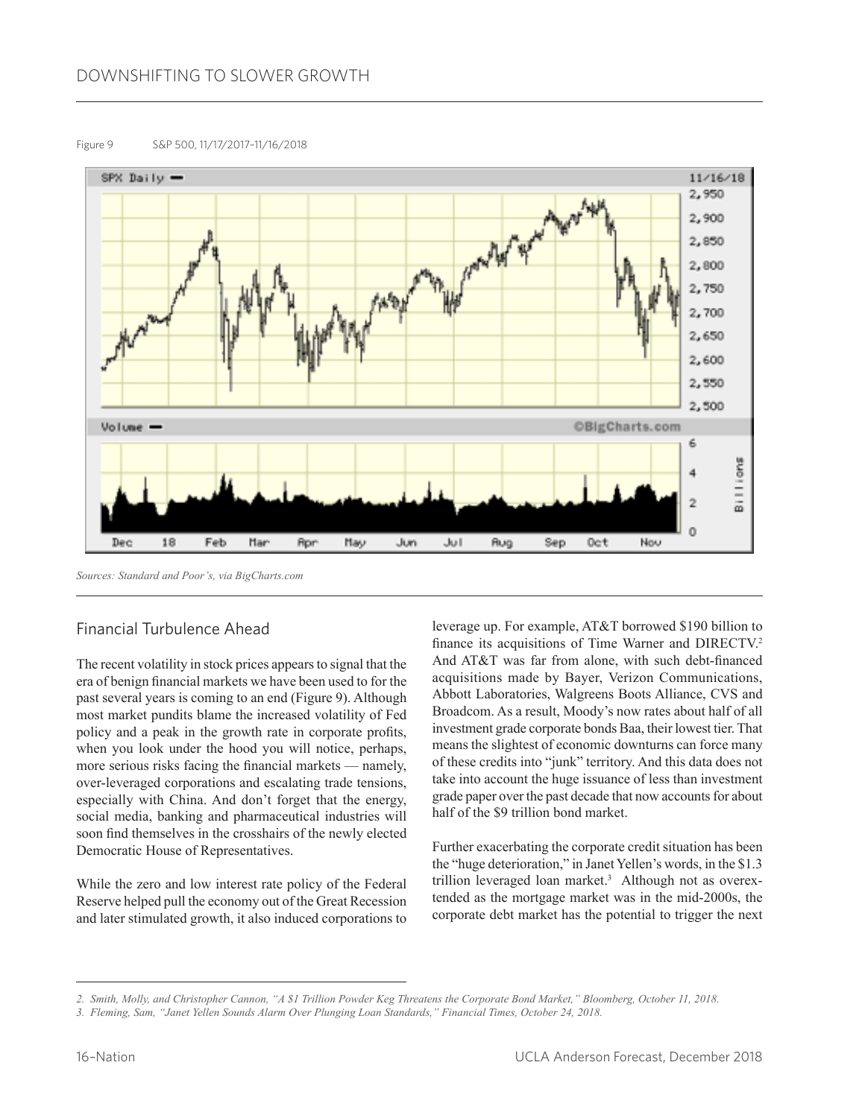#### Figure 9 S&P 500, 11/17/2017–11/16/2018



*Sources: Standard and Poor's, via BigCharts.com*

# Financial Turbulence Ahead

The recent volatility in stock prices appears to signal that the era of benign financial markets we have been used to for the past several years is coming to an end (Figure 9). Although most market pundits blame the increased volatility of Fed policy and a peak in the growth rate in corporate profits, when you look under the hood you will notice, perhaps, more serious risks facing the financial markets — namely, over-leveraged corporations and escalating trade tensions, especially with China. And don't forget that the energy, social media, banking and pharmaceutical industries will soon find themselves in the crosshairs of the newly elected Democratic House of Representatives.

While the zero and low interest rate policy of the Federal Reserve helped pull the economy out of the Great Recession and later stimulated growth, it also induced corporations to leverage up. For example, AT&T borrowed \$190 billion to finance its acquisitions of Time Warner and DIRECTV.<sup>2</sup> And AT&T was far from alone, with such debt-financed acquisitions made by Bayer, Verizon Communications, Abbott Laboratories, Walgreens Boots Alliance, CVS and Broadcom. As a result, Moody's now rates about half of all investment grade corporate bonds Baa, their lowest tier. That means the slightest of economic downturns can force many of these credits into "junk" territory. And this data does not take into account the huge issuance of less than investment grade paper over the past decade that now accounts for about half of the \$9 trillion bond market.

Further exacerbating the corporate credit situation has been the "huge deterioration," in Janet Yellen's words, in the \$1.3 trillion leveraged loan market.<sup>3</sup> Although not as overextended as the mortgage market was in the mid-2000s, the corporate debt market has the potential to trigger the next

*<sup>2.</sup> Smith, Molly, and Christopher Cannon, "A \$1 Trillion Powder Keg Threatens the Corporate Bond Market," Bloomberg, October 11, 2018.*

*<sup>3.</sup> Fleming, Sam, "Janet Yellen Sounds Alarm Over Plunging Loan Standards," Financial Times, October 24, 2018.*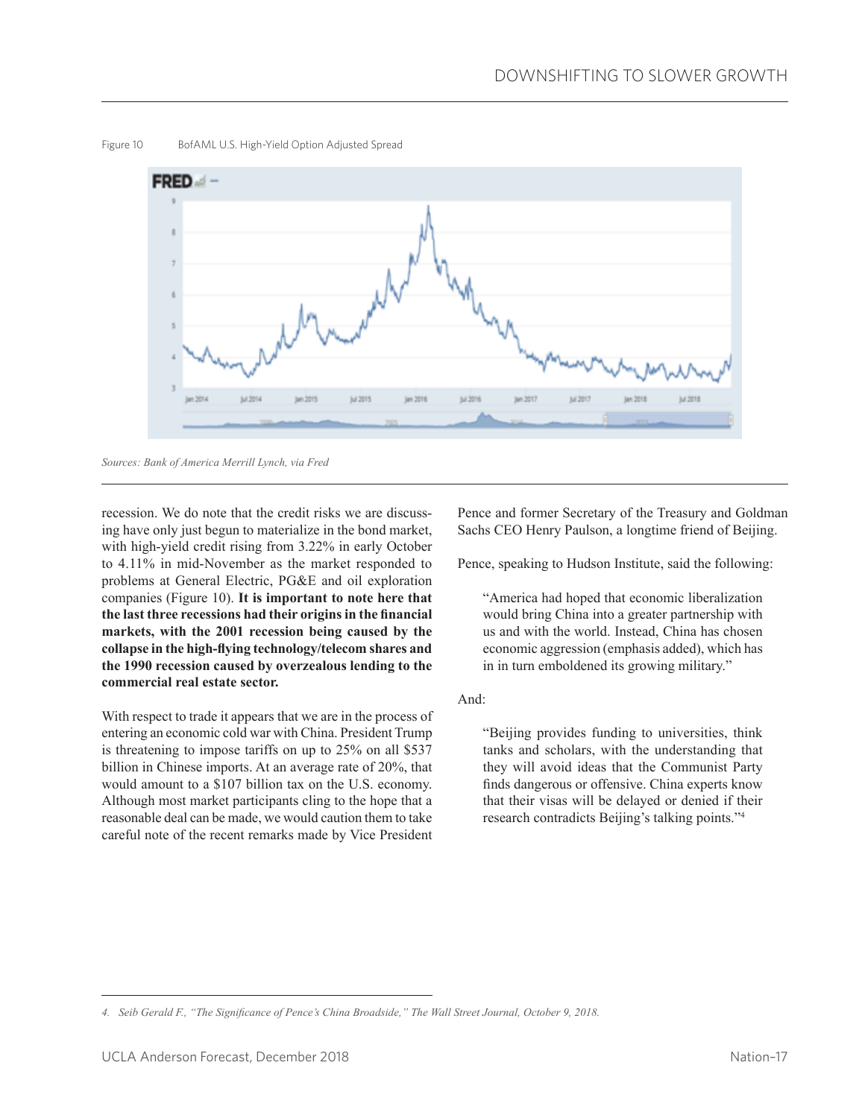

Figure 10 BofAML U.S. High-Yield Option Adjusted Spread

*Sources: Bank of America Merrill Lynch, via Fred*

recession. We do note that the credit risks we are discussing have only just begun to materialize in the bond market, with high-yield credit rising from 3.22% in early October to 4.11% in mid-November as the market responded to problems at General Electric, PG&E and oil exploration companies (Figure 10). **It is important to note here that the last three recessions had their origins in the financial markets, with the 2001 recession being caused by the collapse in the high-flying technology/telecom shares and the 1990 recession caused by overzealous lending to the commercial real estate sector.**

With respect to trade it appears that we are in the process of entering an economic cold war with China. President Trump is threatening to impose tariffs on up to 25% on all \$537 billion in Chinese imports. At an average rate of 20%, that would amount to a \$107 billion tax on the U.S. economy. Although most market participants cling to the hope that a reasonable deal can be made, we would caution them to take careful note of the recent remarks made by Vice President

Pence and former Secretary of the Treasury and Goldman Sachs CEO Henry Paulson, a longtime friend of Beijing.

Pence, speaking to Hudson Institute, said the following:

"America had hoped that economic liberalization would bring China into a greater partnership with us and with the world. Instead, China has chosen economic aggression (emphasis added), which has in in turn emboldened its growing military."

And:

"Beijing provides funding to universities, think tanks and scholars, with the understanding that they will avoid ideas that the Communist Party finds dangerous or offensive. China experts know that their visas will be delayed or denied if their research contradicts Beijing's talking points."4

*<sup>4.</sup> Seib Gerald F., "The Significance of Pence's China Broadside," The Wall Street Journal, October 9, 2018.*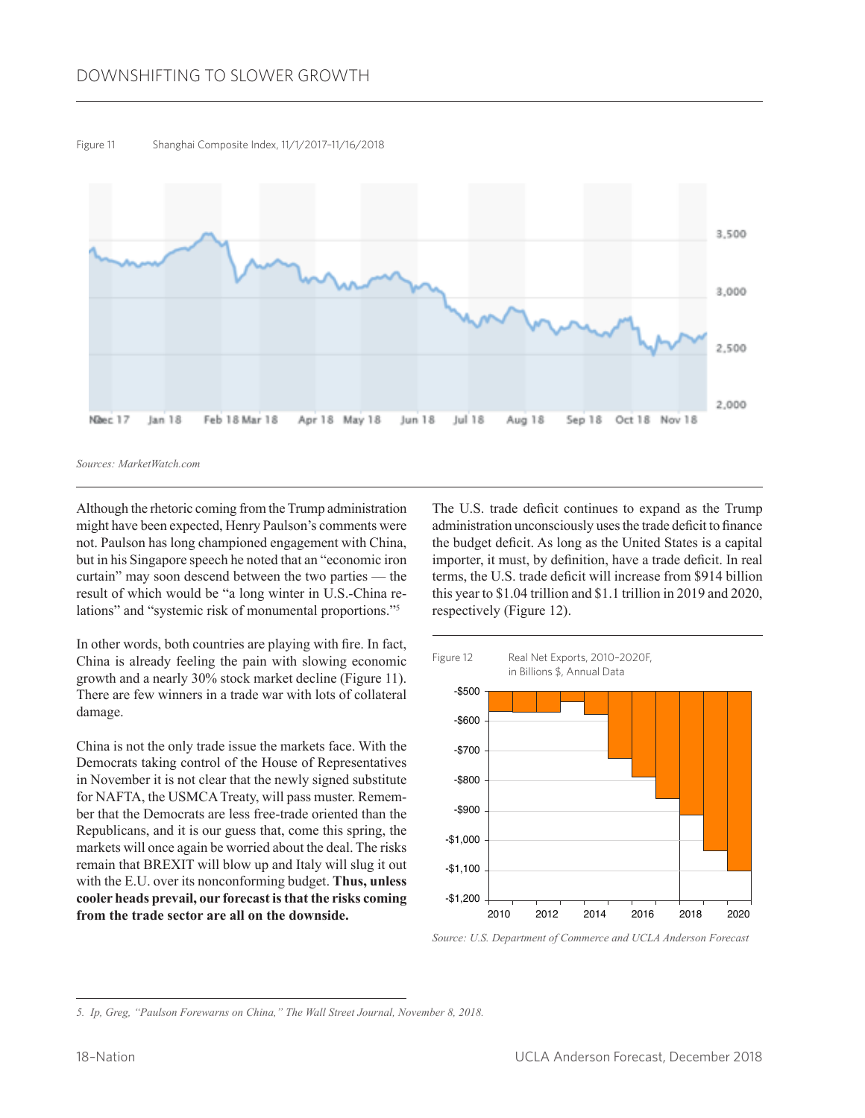

Figure 11 Shanghai Composite Index, 11/1/2017–11/16/2018

*Sources: MarketWatch.com*

Although the rhetoric coming from the Trump administration might have been expected, Henry Paulson's comments were not. Paulson has long championed engagement with China, but in his Singapore speech he noted that an "economic iron curtain" may soon descend between the two parties — the result of which would be "a long winter in U.S.-China relations" and "systemic risk of monumental proportions."<sup>5</sup>

In other words, both countries are playing with fire. In fact, China is already feeling the pain with slowing economic growth and a nearly 30% stock market decline (Figure 11). There are few winners in a trade war with lots of collateral damage.

China is not the only trade issue the markets face. With the Democrats taking control of the House of Representatives in November it is not clear that the newly signed substitute for NAFTA, the USMCA Treaty, will pass muster. Remember that the Democrats are less free-trade oriented than the Republicans, and it is our guess that, come this spring, the markets will once again be worried about the deal. The risks remain that BREXIT will blow up and Italy will slug it out with the E.U. over its nonconforming budget. **Thus, unless cooler heads prevail, our forecast is that the risks coming from the trade sector are all on the downside.**

The U.S. trade deficit continues to expand as the Trump administration unconsciously uses the trade deficit to finance the budget deficit. As long as the United States is a capital importer, it must, by definition, have a trade deficit. In real terms, the U.S. trade deficit will increase from \$914 billion this year to \$1.04 trillion and \$1.1 trillion in 2019 and 2020, respectively (Figure 12).



*Source: U.S. Department of Commerce and UCLA Anderson Forecast*

*<sup>5.</sup> Ip, Greg, "Paulson Forewarns on China," The Wall Street Journal, November 8, 2018.*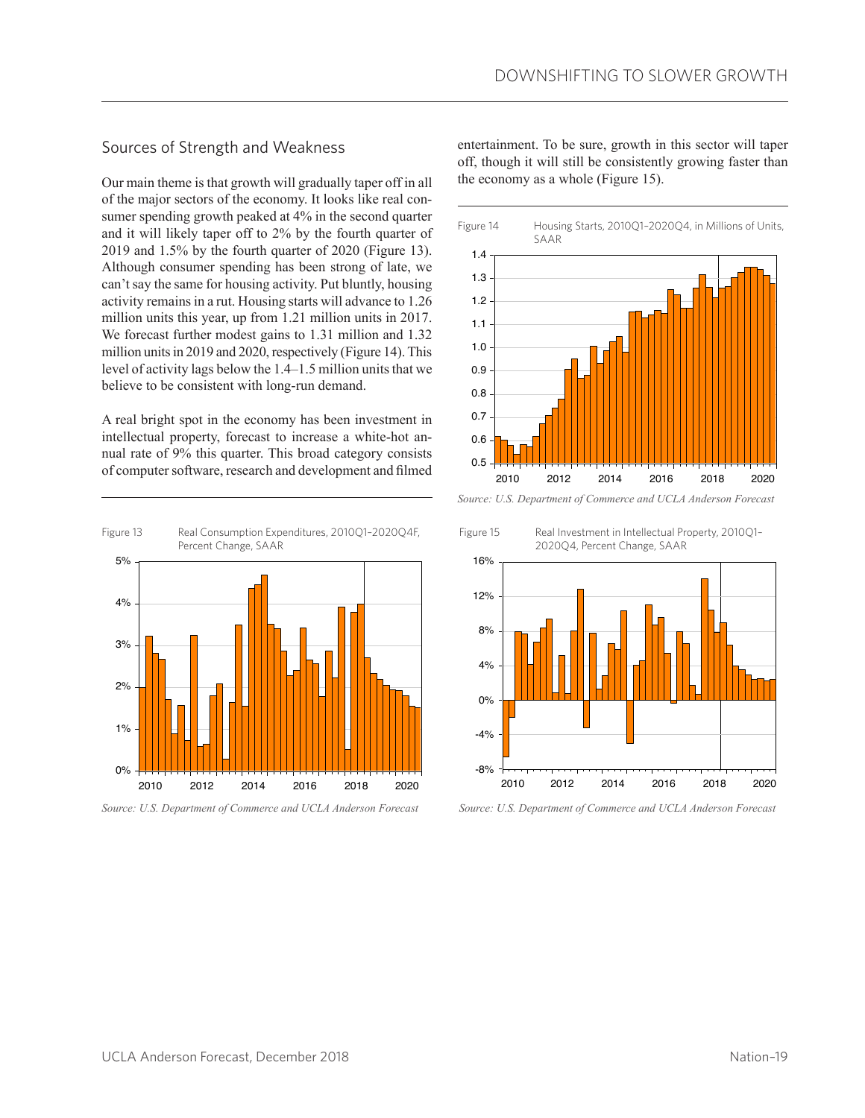### Sources of Strength and Weakness

Our main theme is that growth will gradually taper off in all of the major sectors of the economy. It looks like real consumer spending growth peaked at 4% in the second quarter and it will likely taper off to 2% by the fourth quarter of 2019 and 1.5% by the fourth quarter of 2020 (Figure 13). Although consumer spending has been strong of late, we can't say the same for housing activity. Put bluntly, housing activity remains in a rut. Housing starts will advance to 1.26 million units this year, up from 1.21 million units in 2017. We forecast further modest gains to 1.31 million and 1.32 million units in 2019 and 2020, respectively (Figure 14). This level of activity lags below the 1.4–1.5 million units that we believe to be consistent with long-run demand.

A real bright spot in the economy has been investment in intellectual property, forecast to increase a white-hot annual rate of 9% this quarter. This broad category consists of computer software, research and development and filmed



*Source: U.S. Department of Commerce and UCLA Anderson Forecast*

entertainment. To be sure, growth in this sector will taper off, though it will still be consistently growing faster than the economy as a whole (Figure 15).



*Source: U.S. Department of Commerce and UCLA Anderson Forecast*

Figure 15 Real Investment in Intellectual Property, 2010Q1– 2020Q4, Percent Change, SAAR



*Source: U.S. Department of Commerce and UCLA Anderson Forecast*